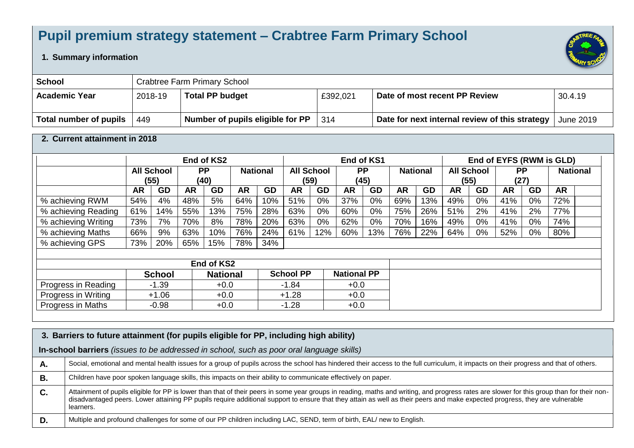## **Pupil premium strategy statement – Crabtree Farm Primary School**

## **1. Summary information**

| <b>School</b>          | Crabtree Farm Primary School |                                  |          |                                                |           |  |  |  |  |
|------------------------|------------------------------|----------------------------------|----------|------------------------------------------------|-----------|--|--|--|--|
| <b>Academic Year</b>   | 2018-19                      | <b>Total PP budget</b>           | £392,021 | Date of most recent PP Review                  | 30.4.19   |  |  |  |  |
| Total number of pupils | 449                          | Number of pupils eligible for PP | 314      | Date for next internal review of this strategy | June 2019 |  |  |  |  |

## **2. Current attainment in 2018**

|                          | End of KS2                     |               |                                      |                 | End of KS1 |                              |                  | End of EYFS (RWM is GLD) |                    |           |           |                 |           |      |           |           |           |  |
|--------------------------|--------------------------------|---------------|--------------------------------------|-----------------|------------|------------------------------|------------------|--------------------------|--------------------|-----------|-----------|-----------------|-----------|------|-----------|-----------|-----------|--|
|                          | <b>All School</b><br><b>PP</b> |               | <b>All School</b><br><b>National</b> |                 |            | <b>PP</b><br><b>National</b> |                  | <b>All School</b>        |                    | <b>PP</b> |           | <b>National</b> |           |      |           |           |           |  |
|                          |                                | (55)          |                                      | (40)            |            |                              |                  | (59)                     |                    | (45)      |           |                 |           | (55) |           | (27)      |           |  |
|                          | <b>AR</b>                      | GD            | <b>AR</b>                            | GD              | <b>AR</b>  | GD                           | <b>AR</b>        | GD                       | <b>AR</b>          | GD        | <b>AR</b> | <b>GD</b>       | <b>AR</b> | GD   | <b>AR</b> | <b>GD</b> | <b>AR</b> |  |
| % achieving RWM          | 54%                            | 4%            | 48%                                  | 5%              | 64%        | 10%                          | 51%              | 0%                       | 37%                | $0\%$     | 69%       | 13%             | 49%       | 0%   | 41%       | $0\%$     | 72%       |  |
| % achieving Reading      | 61%                            | 14%           | 55%                                  | 13%             | 75%        | 28%                          | 63%              | 0%                       | 60%                | 0%        | 75%       | 26%             | 51%       | 2%   | 41%       | 2%        | 77%       |  |
| % achieving Writing      | 73%                            | 7%            | 70%                                  | 8%              | 78%        | 20%                          | 63%              | 0%                       | 62%                | 0%        | 70%       | 16%             | 49%       | 0%   | 41%       | $0\%$     | 74%       |  |
| % achieving Maths        | 66%                            | 9%            | 63%                                  | 10%             | 76%        | 24%                          | 61%              | 12%                      | 60%                | 13%       | 76%       | 22%             | 64%       | 0%   | 52%       | $0\%$     | 80%       |  |
| % achieving GPS          | 73%                            | 20%           | 65%                                  | 15%             | 78%        | 34%                          |                  |                          |                    |           |           |                 |           |      |           |           |           |  |
|                          |                                |               |                                      |                 |            |                              |                  |                          |                    |           |           |                 |           |      |           |           |           |  |
|                          |                                |               |                                      | End of KS2      |            |                              |                  |                          |                    |           |           |                 |           |      |           |           |           |  |
|                          |                                | <b>School</b> |                                      | <b>National</b> |            |                              | <b>School PP</b> |                          | <b>National PP</b> |           |           |                 |           |      |           |           |           |  |
| Progress in Reading      |                                | $-1.39$       |                                      | $+0.0$          |            |                              | $-1.84$          |                          | $+0.0$             |           |           |                 |           |      |           |           |           |  |
| Progress in Writing      |                                | $+1.06$       |                                      | $+0.0$          |            |                              | $+1.28$          |                          | $+0.0$             |           |           |                 |           |      |           |           |           |  |
| <b>Progress in Maths</b> |                                | $-0.98$       |                                      | $+0.0$          |            |                              | $-1.28$          |                          | $+0.0$             |           |           |                 |           |      |           |           |           |  |

|    | 3. Barriers to future attainment (for pupils eligible for PP, including high ability)                                                                                                                                                                                                                                                                                                  |  |  |  |  |  |  |  |  |  |
|----|----------------------------------------------------------------------------------------------------------------------------------------------------------------------------------------------------------------------------------------------------------------------------------------------------------------------------------------------------------------------------------------|--|--|--|--|--|--|--|--|--|
|    | In-school barriers (issues to be addressed in school, such as poor oral language skills)                                                                                                                                                                                                                                                                                               |  |  |  |  |  |  |  |  |  |
| А. | Social, emotional and mental health issues for a group of pupils across the school has hindered their access to the full curriculum, it impacts on their progress and that of others.                                                                                                                                                                                                  |  |  |  |  |  |  |  |  |  |
| В. | Children have poor spoken language skills, this impacts on their ability to communicate effectively on paper.                                                                                                                                                                                                                                                                          |  |  |  |  |  |  |  |  |  |
| C. | Attainment of pupils eligible for PP is lower than that of their peers in some year groups in reading, maths and writing, and progress rates are slower for this group than for their non-<br>disadvantaged peers. Lower attaining PP pupils require additional support to ensure that they attain as well as their peers and make expected progress, they are vulnerable<br>learners. |  |  |  |  |  |  |  |  |  |
| D. | Multiple and profound challenges for some of our PP children including LAC, SEND, term of birth, EAL/ new to English.                                                                                                                                                                                                                                                                  |  |  |  |  |  |  |  |  |  |

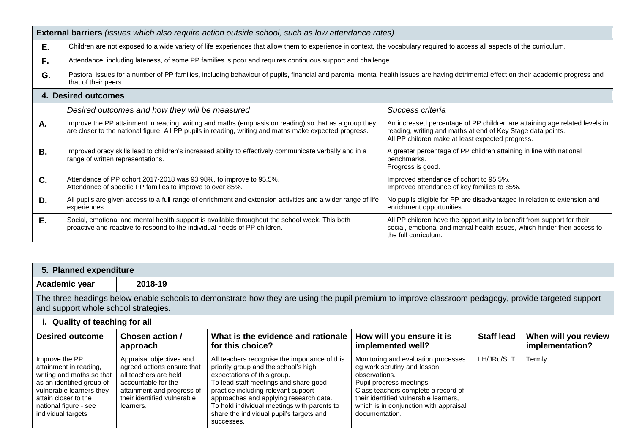|    | <b>External barriers</b> (issues which also require action outside school, such as low attendance rates)                                                                                                                              |                                                                                                                                                                                               |  |  |  |  |  |  |
|----|---------------------------------------------------------------------------------------------------------------------------------------------------------------------------------------------------------------------------------------|-----------------------------------------------------------------------------------------------------------------------------------------------------------------------------------------------|--|--|--|--|--|--|
| Е. | Children are not exposed to a wide variety of life experiences that allow them to experience in context, the vocabulary required to access all aspects of the curriculum.                                                             |                                                                                                                                                                                               |  |  |  |  |  |  |
| F. | Attendance, including lateness, of some PP families is poor and requires continuous support and challenge.                                                                                                                            |                                                                                                                                                                                               |  |  |  |  |  |  |
| G. | Pastoral issues for a number of PP families, including behaviour of pupils, financial and parental mental health issues are having detrimental effect on their academic progress and<br>that of their peers.                          |                                                                                                                                                                                               |  |  |  |  |  |  |
|    | 4. Desired outcomes                                                                                                                                                                                                                   |                                                                                                                                                                                               |  |  |  |  |  |  |
|    | Desired outcomes and how they will be measured                                                                                                                                                                                        | Success criteria                                                                                                                                                                              |  |  |  |  |  |  |
| Α. | Improve the PP attainment in reading, writing and maths (emphasis on reading) so that as a group they<br>are closer to the national figure. All PP pupils in reading, writing and maths make expected progress.                       | An increased percentage of PP children are attaining age related levels in<br>reading, writing and maths at end of Key Stage data points.<br>All PP children make at least expected progress. |  |  |  |  |  |  |
| В. | Improved oracy skills lead to children's increased ability to effectively communicate verbally and in a<br>range of written representations.                                                                                          | A greater percentage of PP children attaining in line with national<br>benchmarks.<br>Progress is good.                                                                                       |  |  |  |  |  |  |
| C. | Attendance of PP cohort 2017-2018 was 93.98%, to improve to 95.5%.<br>Attendance of specific PP families to improve to over 85%.                                                                                                      | Improved attendance of cohort to 95.5%.<br>Improved attendance of key families to 85%.                                                                                                        |  |  |  |  |  |  |
| D. | All pupils are given access to a full range of enrichment and extension activities and a wider range of life<br>No pupils eligible for PP are disadvantaged in relation to extension and<br>enrichment opportunities.<br>experiences. |                                                                                                                                                                                               |  |  |  |  |  |  |
| Е. | Social, emotional and mental health support is available throughout the school week. This both<br>proactive and reactive to respond to the individual needs of PP children.                                                           | All PP children have the opportunity to benefit from support for their<br>social, emotional and mental health issues, which hinder their access to<br>the full curriculum.                    |  |  |  |  |  |  |

## **5. Planned expenditure**

**Academic year 2018-19**

 $\mathbf{I}$ 

The three headings below enable schools to demonstrate how they are using the pupil premium to improve classroom pedagogy, provide targeted support and support whole school strategies.

| i. Quality of teaching for all                                                                                                                                                                        |                                                                                                                                                                                  |                                                                                                                                                                                                                                                                                                                                                         |                                                                                                                                                                                                                                                             |                   |                                         |  |  |  |  |
|-------------------------------------------------------------------------------------------------------------------------------------------------------------------------------------------------------|----------------------------------------------------------------------------------------------------------------------------------------------------------------------------------|---------------------------------------------------------------------------------------------------------------------------------------------------------------------------------------------------------------------------------------------------------------------------------------------------------------------------------------------------------|-------------------------------------------------------------------------------------------------------------------------------------------------------------------------------------------------------------------------------------------------------------|-------------------|-----------------------------------------|--|--|--|--|
| <b>Desired outcome</b>                                                                                                                                                                                | Chosen action /<br>approach                                                                                                                                                      | What is the evidence and rationale   How will you ensure it is<br>for this choice?                                                                                                                                                                                                                                                                      | implemented well?                                                                                                                                                                                                                                           | <b>Staff lead</b> | When will you review<br>implementation? |  |  |  |  |
| Improve the PP<br>attainment in reading,<br>writing and maths so that<br>as an identified group of<br>vulnerable learners they<br>attain closer to the<br>national figure - see<br>individual targets | Appraisal objectives and<br>agreed actions ensure that<br>all teachers are held<br>accountable for the<br>attainment and progress of<br>their identified vulnerable<br>learners. | All teachers recognise the importance of this<br>priority group and the school's high<br>expectations of this group.<br>To lead staff meetings and share good<br>practice including relevant support<br>approaches and applying research data.<br>To hold individual meetings with parents to<br>share the individual pupil's targets and<br>successes. | Monitoring and evaluation processes<br>eg work scrutiny and lesson<br>observations.<br>Pupil progress meetings.<br>Class teachers complete a record of<br>their identified vulnerable learners,<br>which is in conjunction with appraisal<br>documentation. | LH/JRo/SLT        | Termly                                  |  |  |  |  |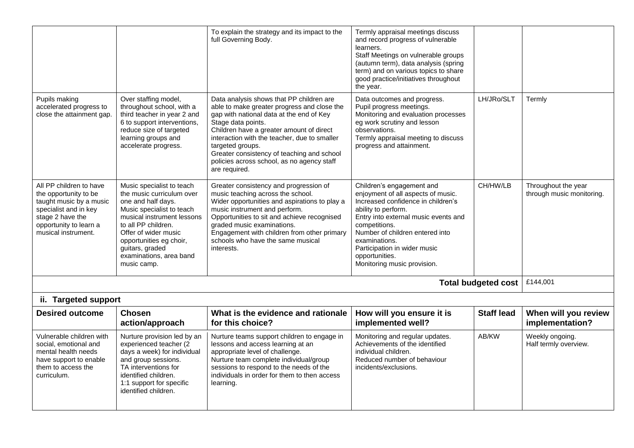|                                                                                                                                                                           |                                                                                                                                                                                                                                                                                | To explain the strategy and its impact to the<br>full Governing Body.                                                                                                                                                                                                                                                                                                                  | Termly appraisal meetings discuss<br>and record progress of vulnerable<br>learners.<br>Staff Meetings on vulnerable groups<br>(autumn term), data analysis (spring<br>term) and on various topics to share<br>good practice/initiatives throughout<br>the year.                                                            |                            |                                                  |
|---------------------------------------------------------------------------------------------------------------------------------------------------------------------------|--------------------------------------------------------------------------------------------------------------------------------------------------------------------------------------------------------------------------------------------------------------------------------|----------------------------------------------------------------------------------------------------------------------------------------------------------------------------------------------------------------------------------------------------------------------------------------------------------------------------------------------------------------------------------------|----------------------------------------------------------------------------------------------------------------------------------------------------------------------------------------------------------------------------------------------------------------------------------------------------------------------------|----------------------------|--------------------------------------------------|
| Pupils making<br>accelerated progress to<br>close the attainment gap.                                                                                                     | Over staffing model,<br>throughout school, with a<br>third teacher in year 2 and<br>6 to support interventions,<br>reduce size of targeted<br>learning groups and<br>accelerate progress.                                                                                      | Data analysis shows that PP children are<br>able to make greater progress and close the<br>gap with national data at the end of Key<br>Stage data points.<br>Children have a greater amount of direct<br>interaction with the teacher, due to smaller<br>targeted groups.<br>Greater consistency of teaching and school<br>policies across school, as no agency staff<br>are required. | Data outcomes and progress.<br>Pupil progress meetings.<br>Monitoring and evaluation processes<br>eg work scrutiny and lesson<br>observations.<br>Termly appraisal meeting to discuss<br>progress and attainment.                                                                                                          | LH/JRo/SLT                 | Termly                                           |
| All PP children to have<br>the opportunity to be<br>taught music by a music<br>specialist and in key<br>stage 2 have the<br>opportunity to learn a<br>musical instrument. | Music specialist to teach<br>the music curriculum over<br>one and half days.<br>Music specialist to teach<br>musical instrument lessons<br>to all PP children.<br>Offer of wider music<br>opportunities eg choir,<br>guitars, graded<br>examinations, area band<br>music camp. | Greater consistency and progression of<br>music teaching across the school.<br>Wider opportunities and aspirations to play a<br>music instrument and perform.<br>Opportunities to sit and achieve recognised<br>graded music examinations.<br>Engagement with children from other primary<br>schools who have the same musical<br>interests.                                           | Children's engagement and<br>enjoyment of all aspects of music.<br>Increased confidence in children's<br>ability to perform.<br>Entry into external music events and<br>competitions.<br>Number of children entered into<br>examinations.<br>Participation in wider music<br>opportunities.<br>Monitoring music provision. | CH/HW/LB                   | Throughout the year<br>through music monitoring. |
|                                                                                                                                                                           |                                                                                                                                                                                                                                                                                |                                                                                                                                                                                                                                                                                                                                                                                        |                                                                                                                                                                                                                                                                                                                            | <b>Total budgeted cost</b> | £144,001                                         |
| ii. Targeted support                                                                                                                                                      |                                                                                                                                                                                                                                                                                |                                                                                                                                                                                                                                                                                                                                                                                        |                                                                                                                                                                                                                                                                                                                            |                            |                                                  |
| <b>Desired outcome</b>                                                                                                                                                    | <b>Chosen</b><br>action/approach                                                                                                                                                                                                                                               | What is the evidence and rationale<br>for this choice?                                                                                                                                                                                                                                                                                                                                 | How will you ensure it is<br>implemented well?                                                                                                                                                                                                                                                                             | <b>Staff lead</b>          | When will you review<br>implementation?          |
| Vulnerable children with<br>social, emotional and<br>mental health needs<br>have support to enable<br>them to access the<br>curriculum.                                   | Nurture provision led by an<br>experienced teacher (2<br>days a week) for individual<br>and group sessions.<br>TA interventions for<br>identified children.<br>1:1 support for specific<br>identified children.                                                                | Nurture teams support children to engage in<br>lessons and access learning at an<br>appropriate level of challenge.<br>Nurture team complete individual/group<br>sessions to respond to the needs of the<br>individuals in order for them to then access<br>learning.                                                                                                                  | Monitoring and regular updates.<br>Achievements of the identified<br>individual children.<br>Reduced number of behaviour<br>incidents/exclusions.                                                                                                                                                                          | AB/KW                      | Weekly ongoing.<br>Half termly overview.         |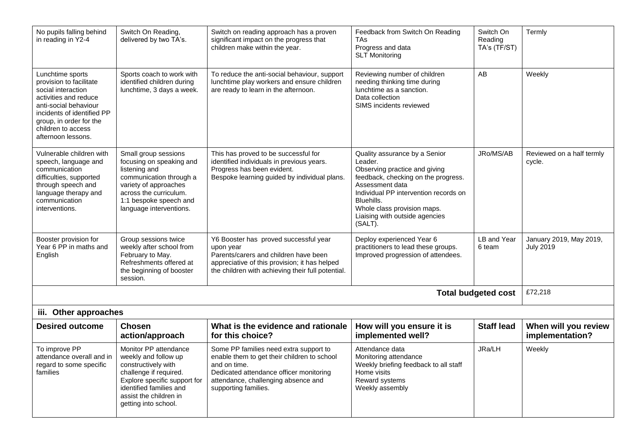| No pupils falling behind<br>in reading in Y2-4                                                                                                                                                                           | Switch On Reading,<br>delivered by two TA's.                                                                                                                                                                | Switch on reading approach has a proven<br>significant impact on the progress that<br>children make within the year.                                                                                            | Feedback from Switch On Reading<br><b>TAs</b><br>Progress and data<br><b>SLT Monitoring</b>                                                                                                                                                                            | Switch On<br>Reading<br>TA's (TF/ST) | Termly                                      |
|--------------------------------------------------------------------------------------------------------------------------------------------------------------------------------------------------------------------------|-------------------------------------------------------------------------------------------------------------------------------------------------------------------------------------------------------------|-----------------------------------------------------------------------------------------------------------------------------------------------------------------------------------------------------------------|------------------------------------------------------------------------------------------------------------------------------------------------------------------------------------------------------------------------------------------------------------------------|--------------------------------------|---------------------------------------------|
| Lunchtime sports<br>provision to facilitate<br>social interaction<br>activities and reduce<br>anti-social behaviour<br>incidents of identified PP<br>group, in order for the<br>children to access<br>afternoon lessons. | Sports coach to work with<br>identified children during<br>lunchtime, 3 days a week.                                                                                                                        | To reduce the anti-social behaviour, support<br>lunchtime play workers and ensure children<br>are ready to learn in the afternoon.                                                                              | Reviewing number of children<br>needing thinking time during<br>lunchtime as a sanction.<br>Data collection<br>SIMS incidents reviewed                                                                                                                                 | AB                                   | Weekly                                      |
| Vulnerable children with<br>speech, language and<br>communication<br>difficulties, supported<br>through speech and<br>language therapy and<br>communication<br>interventions.                                            | Small group sessions<br>focusing on speaking and<br>listening and<br>communication through a<br>variety of approaches<br>across the curriculum.<br>1:1 bespoke speech and<br>language interventions.        | This has proved to be successful for<br>identified individuals in previous years.<br>Progress has been evident.<br>Bespoke learning guided by individual plans.                                                 | Quality assurance by a Senior<br>Leader.<br>Observing practice and giving<br>feedback, checking on the progress.<br>Assessment data<br>Individual PP intervention records on<br>Bluehills.<br>Whole class provision maps.<br>Liaising with outside agencies<br>(SALT). | JRo/MS/AB                            | Reviewed on a half termly<br>cycle.         |
| Booster provision for<br>Year 6 PP in maths and<br>English                                                                                                                                                               | Group sessions twice<br>weekly after school from<br>February to May.<br>Refreshments offered at<br>the beginning of booster<br>session.                                                                     | Y6 Booster has proved successful year<br>upon year<br>Parents/carers and children have been<br>appreciative of this provision; it has helped<br>the children with achieving their full potential.               | Deploy experienced Year 6<br>practitioners to lead these groups.<br>Improved progression of attendees.                                                                                                                                                                 | <b>LB and Year</b><br>6 team         | January 2019, May 2019,<br><b>July 2019</b> |
|                                                                                                                                                                                                                          |                                                                                                                                                                                                             |                                                                                                                                                                                                                 |                                                                                                                                                                                                                                                                        | <b>Total budgeted cost</b>           | £72,218                                     |
| iii. Other approaches                                                                                                                                                                                                    |                                                                                                                                                                                                             |                                                                                                                                                                                                                 |                                                                                                                                                                                                                                                                        |                                      |                                             |
| <b>Desired outcome</b>                                                                                                                                                                                                   | <b>Chosen</b><br>action/approach                                                                                                                                                                            | What is the evidence and rationale<br>for this choice?                                                                                                                                                          | How will you ensure it is<br>implemented well?                                                                                                                                                                                                                         | <b>Staff lead</b>                    | When will you review<br>implementation?     |
| To improve PP<br>attendance overall and in<br>regard to some specific<br>families                                                                                                                                        | Monitor PP attendance<br>weekly and follow up<br>constructively with<br>challenge if required.<br>Explore specific support for<br>identified families and<br>assist the children in<br>getting into school. | Some PP families need extra support to<br>enable them to get their children to school<br>and on time.<br>Dedicated attendance officer monitoring<br>attendance, challenging absence and<br>supporting families. | Attendance data<br>Monitoring attendance<br>Weekly briefing feedback to all staff<br>Home visits<br>Reward systems<br>Weekly assembly                                                                                                                                  | JRa/LH                               | Weekly                                      |